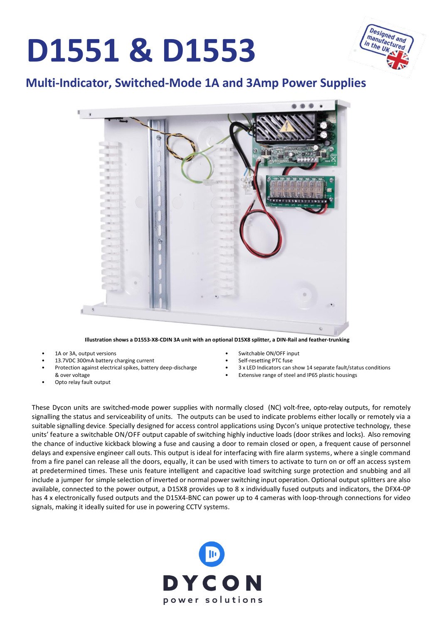# **D1551 & D1553**



#### **Multi-Indicator, Switched-Mode 1A and 3Amp Power Supplies**



**Illustration shows a D1553-X8-CDIN 3A unit with an optional D15X8 splitter, a DIN-Rail and feather-trunking**

- 1A or 3A, output versions
- 13.7VDC 300mA battery charging current
- Protection against electrical spikes, battery deep-discharge
- & over voltage
- Opto relay fault output
- Switchable ON/OFF input
- Self-resetting PTC fuse
- 3 x LED Indicators can show 14 separate fault/status conditions
- Extensive range of steel and IP65 plastic housings

These Dycon units are switched-mode power supplies with normally closed (NC) volt-free, opto-relay outputs, for remotely signalling the status and serviceability of units. The outputs can be used to indicate problems either locally or remotely via a suitable signalling device. Specially designed for access control applications using Dycon's unique protective technology, these units' feature a switchable ON/OFF output capable of switching highly inductive loads (door strikes and locks). Also removing the chance of inductive kickback blowing a fuse and causing a door to remain closed or open, a frequent cause of personnel delays and expensive engineer call outs. This output is ideal for interfacing with fire alarm systems, where a single command from a fire panel can release all the doors, equally, it can be used with timers to activate to turn on or off an access system at predetermined times. These unis feature intelligent and capacitive load switching surge protection and snubbing and all include a jumper for simple selection of inverted or normal powerswitching input operation. Optional output splitters are also available, connected to the power output, a D15X8 provides up to 8 x individually fused outputs and indicators, the DFX4-0P has 4 x electronically fused outputs and the D15X4-BNC can power up to 4 cameras with loop-through connections for video signals, making it ideally suited for use in powering CCTV systems.